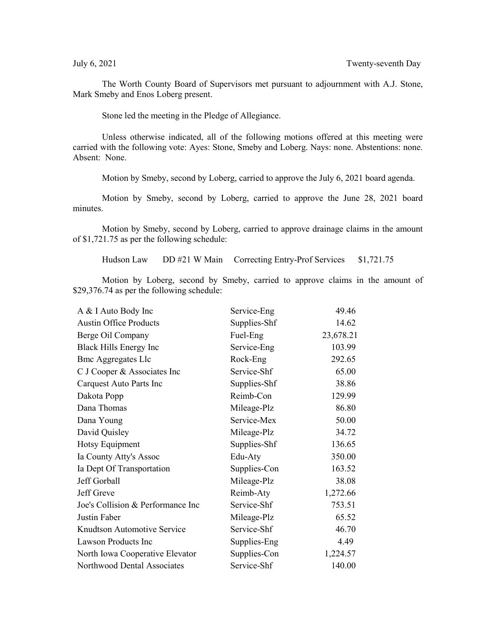The Worth County Board of Supervisors met pursuant to adjournment with A.J. Stone, Mark Smeby and Enos Loberg present.

Stone led the meeting in the Pledge of Allegiance.

Unless otherwise indicated, all of the following motions offered at this meeting were carried with the following vote: Ayes: Stone, Smeby and Loberg. Nays: none. Abstentions: none. Absent: None.

Motion by Smeby, second by Loberg, carried to approve the July 6, 2021 board agenda.

Motion by Smeby, second by Loberg, carried to approve the June 28, 2021 board minutes.

Motion by Smeby, second by Loberg, carried to approve drainage claims in the amount of \$1,721.75 as per the following schedule:

Hudson Law DD #21 W Main Correcting Entry-Prof Services \$1,721.75

Motion by Loberg, second by Smeby, carried to approve claims in the amount of \$29,376.74 as per the following schedule:

| A & I Auto Body Inc               | Service-Eng  | 49.46     |
|-----------------------------------|--------------|-----------|
| <b>Austin Office Products</b>     | Supplies-Shf | 14.62     |
| Berge Oil Company                 | Fuel-Eng     | 23,678.21 |
| Black Hills Energy Inc            | Service-Eng  | 103.99    |
| <b>Bmc Aggregates Llc</b>         | Rock-Eng     | 292.65    |
| C J Cooper & Associates Inc       | Service-Shf  | 65.00     |
| Carquest Auto Parts Inc           | Supplies-Shf | 38.86     |
| Dakota Popp                       | Reimb-Con    | 129.99    |
| Dana Thomas                       | Mileage-Plz  | 86.80     |
| Dana Young                        | Service-Mex  | 50.00     |
| David Quisley                     | Mileage-Plz  | 34.72     |
| Hotsy Equipment                   | Supplies-Shf | 136.65    |
| Ia County Atty's Assoc            | Edu-Aty      | 350.00    |
| Ia Dept Of Transportation         | Supplies-Con | 163.52    |
| Jeff Gorball                      | Mileage-Plz  | 38.08     |
| Jeff Greve                        | Reimb-Aty    | 1,272.66  |
| Joe's Collision & Performance Inc | Service-Shf  | 753.51    |
| Justin Faber                      | Mileage-Plz  | 65.52     |
| Knudtson Automotive Service       | Service-Shf  | 46.70     |
| Lawson Products Inc               | Supplies-Eng | 4.49      |
| North Iowa Cooperative Elevator   | Supplies-Con | 1,224.57  |
| Northwood Dental Associates       | Service-Shf  | 140.00    |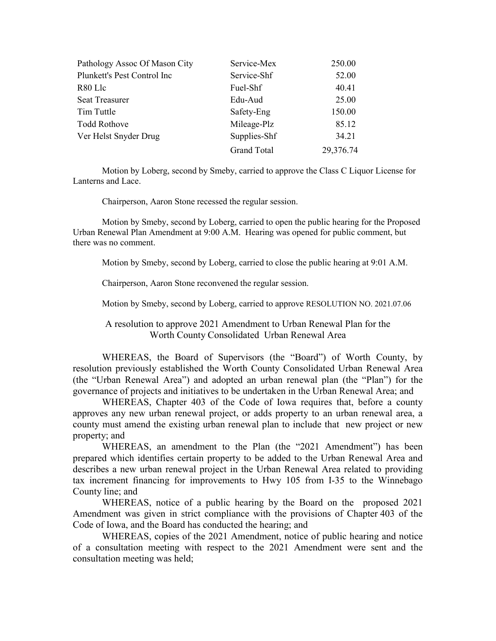| Pathology Assoc Of Mason City | Service-Mex        | 250.00    |
|-------------------------------|--------------------|-----------|
| Plunkett's Pest Control Inc   | Service-Shf        | 52.00     |
| R80 Llc                       | Fuel-Shf           | 40.41     |
| <b>Seat Treasurer</b>         | Edu-Aud            | 25.00     |
| Tim Tuttle                    | Safety-Eng         | 150.00    |
| <b>Todd Rothove</b>           | Mileage-Plz        | 85.12     |
| Ver Helst Snyder Drug         | Supplies-Shf       | 34.21     |
|                               | <b>Grand Total</b> | 29,376.74 |

Motion by Loberg, second by Smeby, carried to approve the Class C Liquor License for Lanterns and Lace.

Chairperson, Aaron Stone recessed the regular session.

Motion by Smeby, second by Loberg, carried to open the public hearing for the Proposed Urban Renewal Plan Amendment at 9:00 A.M. Hearing was opened for public comment, but there was no comment.

Motion by Smeby, second by Loberg, carried to close the public hearing at 9:01 A.M.

Chairperson, Aaron Stone reconvened the regular session.

Motion by Smeby, second by Loberg, carried to approve RESOLUTION NO. 2021.07.06

A resolution to approve 2021 Amendment to Urban Renewal Plan for the Worth County Consolidated Urban Renewal Area

WHEREAS, the Board of Supervisors (the "Board") of Worth County, by resolution previously established the Worth County Consolidated Urban Renewal Area (the "Urban Renewal Area") and adopted an urban renewal plan (the "Plan") for the governance of projects and initiatives to be undertaken in the Urban Renewal Area; and

WHEREAS, Chapter 403 of the Code of Iowa requires that, before a county approves any new urban renewal project, or adds property to an urban renewal area, a county must amend the existing urban renewal plan to include that new project or new property; and

WHEREAS, an amendment to the Plan (the "2021 Amendment") has been prepared which identifies certain property to be added to the Urban Renewal Area and describes a new urban renewal project in the Urban Renewal Area related to providing tax increment financing for improvements to Hwy 105 from I-35 to the Winnebago County line; and

WHEREAS, notice of a public hearing by the Board on the proposed 2021 Amendment was given in strict compliance with the provisions of Chapter 403 of the Code of Iowa, and the Board has conducted the hearing; and

WHEREAS, copies of the 2021 Amendment, notice of public hearing and notice of a consultation meeting with respect to the 2021 Amendment were sent and the consultation meeting was held;